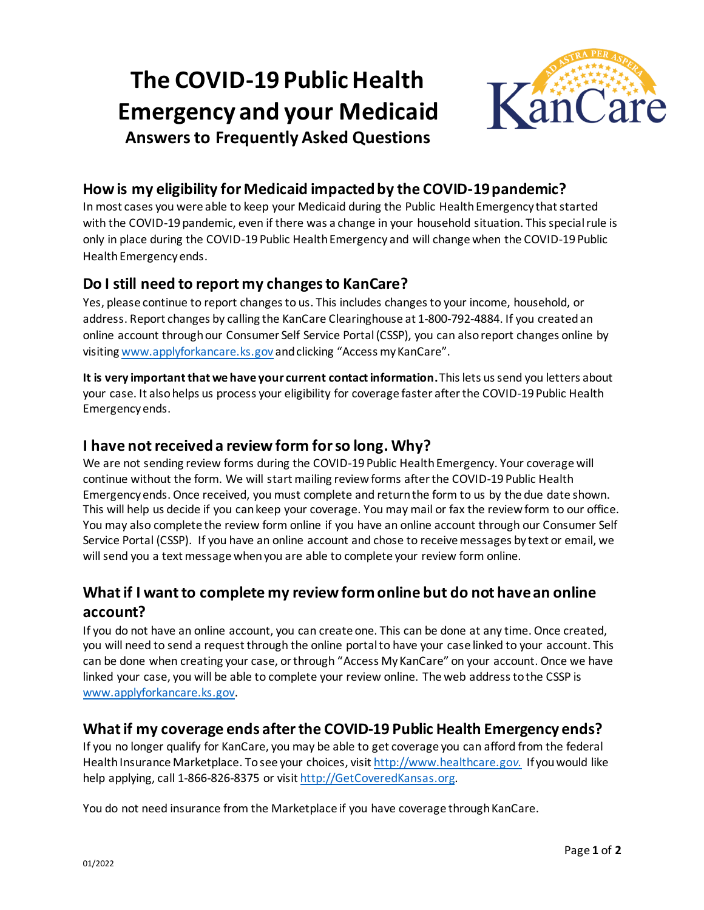# **The COVID-19 Public Health Emergency and your Medicaid**



**Answers to Frequently Asked Questions**

### **How is my eligibility for Medicaid impacted by the COVID-19 pandemic?**

In most cases you were able to keep your Medicaid during the Public Health Emergency that started with the COVID-19 pandemic, even if there was a change in your household situation. This special rule is only in place during the COVID-19 Public Health Emergency and will change when the COVID-19 Public Health Emergency ends.

### **Do I still need to report my changes to KanCare?**

Yes, please continue to report changes to us. This includes changes to your income, household, or address. Report changes by calling the KanCare Clearinghouse at 1-800-792-4884. If you created an online account through our Consumer Self Service Portal (CSSP), you can also report changes online by visiting [www.applyforkancare.ks.gov](https://gcc02.safelinks.protection.outlook.com/?url=http%3A%2F%2Fwww.applyforkancare.ks.gov%2F&data=04%7C01%7Cjonathan.wake%40ks.gov%7C53c49255a72a4ef2ee6b08d9bb50420f%7Cdcae8101c92d480cbc43c6761ccccc5a%7C0%7C0%7C637746775650565861%7CUnknown%7CTWFpbGZsb3d8eyJWIjoiMC4wLjAwMDAiLCJQIjoiV2luMzIiLCJBTiI6Ik1haWwiLCJXVCI6Mn0%3D%7C3000&sdata=R2SuQIHAZCa%2Bbxs1V9TFh33bDDVATgD1udCAET84JqM%3D&reserved=0) and clicking "Access my KanCare".

**It is very important that we have your current contact information.** This lets us send you letters about your case. It also helps us process your eligibility for coverage faster after the COVID-19 Public Health Emergency ends.

### **I have not received a reviewform for so long. Why?**

We are not sending review forms during the COVID-19 Public Health Emergency. Your coverage will continue without the form. We will start mailing review forms after the COVID-19 Public Health Emergency ends. Once received, you must complete and return the form to us by the due date shown. This will help us decide if you can keep your coverage. You may mail or fax the review form to our office. You may also complete the review form online if you have an online account through our Consumer Self Service Portal (CSSP). If you have an online account and chose to receive messages by text or email, we will send you a text message when you are able to complete your review form online.

## **What if I want to complete my review form online but do not have an online account?**

If you do not have an online account, you can create one. This can be done at any time. Once created, you will need to send a request through the online portal to have your case linked to your account. This can be done when creating your case, or through "Access My KanCare" on your account. Once we have linked your case, you will be able to complete your review online. The web address to the CSSP is [www.applyforkancare.ks.gov](https://gcc02.safelinks.protection.outlook.com/?url=http%3A%2F%2Fwww.applyforkancare.ks.gov%2F&data=04%7C01%7Cjonathan.wake%40ks.gov%7C53c49255a72a4ef2ee6b08d9bb50420f%7Cdcae8101c92d480cbc43c6761ccccc5a%7C0%7C0%7C637746775650565861%7CUnknown%7CTWFpbGZsb3d8eyJWIjoiMC4wLjAwMDAiLCJQIjoiV2luMzIiLCJBTiI6Ik1haWwiLCJXVCI6Mn0%3D%7C3000&sdata=R2SuQIHAZCa%2Bbxs1V9TFh33bDDVATgD1udCAET84JqM%3D&reserved=0).

## **What if my coverage ends after the COVID-19 Public Health Emergency ends?**

If you no longer qualify for KanCare, you may be able to get coverage you can afford from the federal Health Insurance Marketplace. To see your choices, visit [http://www.healthcare.go](https://gcc02.safelinks.protection.outlook.com/?url=http%3A%2F%2Fwww.healthcare.gov%2F&data=04%7C01%7CLaTonya.Palmer%40ks.gov%7C1f47cf7911304f32d5a208d9b99eb93d%7Cdcae8101c92d480cbc43c6761ccccc5a%7C0%7C0%7C637744913618266267%7CUnknown%7CTWFpbGZsb3d8eyJWIjoiMC4wLjAwMDAiLCJQIjoiV2luMzIiLCJBTiI6Ik1haWwiLCJXVCI6Mn0%3D%7C3000&sdata=lj%2F5AXrPZ6yED8VBE9%2FDCzt%2FLxw3vnooyeZ5Y0wrlq8%3D&reserved=0)*v.* If you would like help applying, call 1-866-826-8375 or visi[t http://GetCoveredKansas.org](https://gcc02.safelinks.protection.outlook.com/?url=http%3A%2F%2Fgetcoveredkansas.org%2F&data=04%7C01%7CLaTonya.Palmer%40ks.gov%7C1f47cf7911304f32d5a208d9b99eb93d%7Cdcae8101c92d480cbc43c6761ccccc5a%7C0%7C0%7C637744913618276232%7CUnknown%7CTWFpbGZsb3d8eyJWIjoiMC4wLjAwMDAiLCJQIjoiV2luMzIiLCJBTiI6Ik1haWwiLCJXVCI6Mn0%3D%7C3000&sdata=pQtBDWTLflHyppl8HYO5mnaMcQG8JNOooSGerCno2l4%3D&reserved=0).

You do not need insurance from the Marketplace if you have coverage through KanCare.